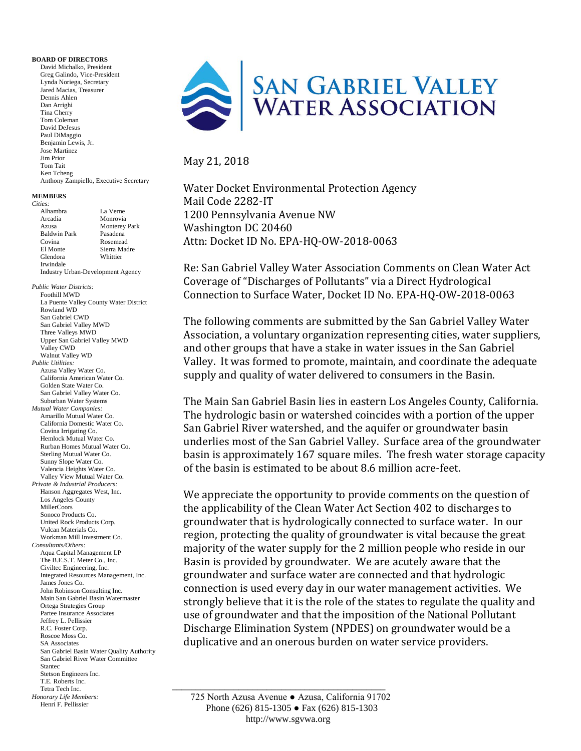#### **BOARD OF DIRECTORS**

David Michalko, President Greg Galindo, Vice-President Lynda Noriega, Secretary Jared Macias, Treasurer Dennis Ahlen Dan Arrighi Tina Cherry Tom Coleman David DeJesus Paul DiMaggio Benjamin Lewis, Jr. Jose Martinez Jim Prior Tom Tait Ken Tcheng Anthony Zampiello, Executive Secretary

| <b>MEMBERS</b><br>Cities:                                  |                      | water Docket Environmental Frotection P        |
|------------------------------------------------------------|----------------------|------------------------------------------------|
|                                                            |                      | Mail Code 2282-IT                              |
| Alhambra                                                   | La Verne             | 1200 Pennsylvania Avenue NW                    |
| Arcadia                                                    | Monrovia             |                                                |
| Azusa                                                      | <b>Monterey Park</b> | Washington DC 20460                            |
| <b>Baldwin Park</b><br>Covina                              | Pasadena<br>Rosemead | Attn: Docket ID No. EPA-HQ-OW-2018-00          |
| El Monte                                                   | Sierra Madre         |                                                |
| Glendora                                                   | Whittier             |                                                |
| Irwindale<br>Industry Urban-Development Agency             |                      | Re: San Gabriel Valley Water Association (     |
|                                                            |                      |                                                |
|                                                            |                      | Coverage of "Discharges of Pollutants" via     |
| <b>Public Water Districts:</b><br><b>Foothill MWD</b>      |                      | Connection to Surface Water, Docket ID N       |
| La Puente Valley County Water District                     |                      |                                                |
| Rowland WD                                                 |                      |                                                |
| San Gabriel CWD                                            |                      | The following comments are submitted by        |
| San Gabriel Valley MWD                                     |                      |                                                |
| Three Valleys MWD<br>Upper San Gabriel Valley MWD          |                      | Association, a voluntary organization repi     |
| Valley CWD                                                 |                      | and other groups that have a stake in wate     |
| Walnut Valley WD                                           |                      |                                                |
| Public Utilities:                                          |                      | Valley. It was formed to promote, maintal      |
| Azusa Valley Water Co.                                     |                      | supply and quality of water delivered to c     |
| California American Water Co.<br>Golden State Water Co.    |                      |                                                |
| San Gabriel Valley Water Co.                               |                      |                                                |
| Suburban Water Systems                                     |                      | The Main San Gabriel Basin lies in eastern     |
| Mutual Water Companies:                                    |                      |                                                |
| Amarillo Mutual Water Co.                                  |                      | The hydrologic basin or watershed coincion     |
| California Domestic Water Co.<br>Covina Irrigating Co.     |                      | San Gabriel River watershed, and the aqui      |
| Hemlock Mutual Water Co.                                   |                      |                                                |
| Rurban Homes Mutual Water Co.                              |                      | underlies most of the San Gabriel Valley.      |
| Sterling Mutual Water Co.                                  |                      | basin is approximately 167 square miles.       |
| Sunny Slope Water Co.                                      |                      | of the basin is estimated to be about 8.6 m    |
| Valencia Heights Water Co.<br>Valley View Mutual Water Co. |                      |                                                |
| Private & Industrial Producers:                            |                      |                                                |
| Hanson Aggregates West, Inc.                               |                      | We appreciate the opportunity to provide       |
| Los Angeles County                                         |                      |                                                |
| MillerCoors                                                |                      | the applicability of the Clean Water Act Se    |
| Sonoco Products Co.                                        |                      | groundwater that is hydrologically connee      |
| United Rock Products Corp.<br>Vulcan Materials Co.         |                      |                                                |
| Workman Mill Investment Co.                                |                      | region, protecting the quality of groundwa     |
| Consultants/Others:                                        |                      | majority of the water supply for the 2 mill    |
| Aqua Capital Management LP                                 |                      |                                                |
| The B.E.S.T. Meter Co., Inc.<br>Civiltec Engineering, Inc. |                      | Basin is provided by groundwater. We are       |
| Integrated Resources Management, Inc.                      |                      | groundwater and surface water are conne        |
| James Jones Co.                                            |                      |                                                |
| John Robinson Consulting Inc.                              |                      | connection is used every day in our water      |
| Main San Gabriel Basin Watermaster                         |                      | strongly believe that it is the role of the st |
| Ortega Strategies Group<br>Partee Insurance Associates     |                      |                                                |
| Jeffrey L. Pellissier                                      |                      | use of groundwater and that the impositio      |
| R.C. Foster Corp.                                          |                      | Discharge Elimination System (NPDES) or        |
| Roscoe Moss Co.                                            |                      |                                                |
| <b>SA Associates</b>                                       |                      | duplicative and an onerous burden on wa        |
| San Gabriel Basin Water Quality Authority                  |                      |                                                |
| San Gabriel River Water Committee<br><b>Stantec</b>        |                      |                                                |
| Stetson Engineers Inc.                                     |                      |                                                |
| T.E. Roberts Inc.                                          |                      |                                                |
| Tetra Tech Inc.                                            |                      |                                                |

```
Tetra Tech Inc.
Honorary Life Members:
   Henri F. Pellissier
```


#### May 21, 2018

Water Docket Environmental Protection Agency Mail Code 2282-IT 1200 Pennsylvania Avenue NW Washington DC 20460 Attn: Docket ID No. EPA-HQ-OW-2018-0063

Re: San Gabriel Valley Water Association Comments on Clean Water Act Coverage of "Discharges of Pollutants" via a Direct Hydrological Connection to Surface Water, Docket ID No. EPA-HQ-OW-2018-0063

The following comments are submitted by the San Gabriel Valley Water Association, a voluntary organization representing cities, water suppliers, and other groups that have a stake in water issues in the San Gabriel Valley. It was formed to promote, maintain, and coordinate the adequate supply and quality of water delivered to consumers in the Basin.

The Main San Gabriel Basin lies in eastern Los Angeles County, California. The hydrologic basin or watershed coincides with a portion of the upper San Gabriel River watershed, and the aquifer or groundwater basin underlies most of the San Gabriel Valley. Surface area of the groundwater basin is approximately 167 square miles. The fresh water storage capacity of the basin is estimated to be about 8.6 million acre-feet.

We appreciate the opportunity to provide comments on the question of the applicability of the Clean Water Act Section 402 to discharges to groundwater that is hydrologically connected to surface water. In our region, protecting the quality of groundwater is vital because the great majority of the water supply for the 2 million people who reside in our Basin is provided by groundwater. We are acutely aware that the groundwater and surface water are connected and that hydrologic connection is used every day in our water management activities. We strongly believe that it is the role of the states to regulate the quality and use of groundwater and that the imposition of the National Pollutant Discharge Elimination System (NPDES) on groundwater would be a duplicative and an onerous burden on water service providers.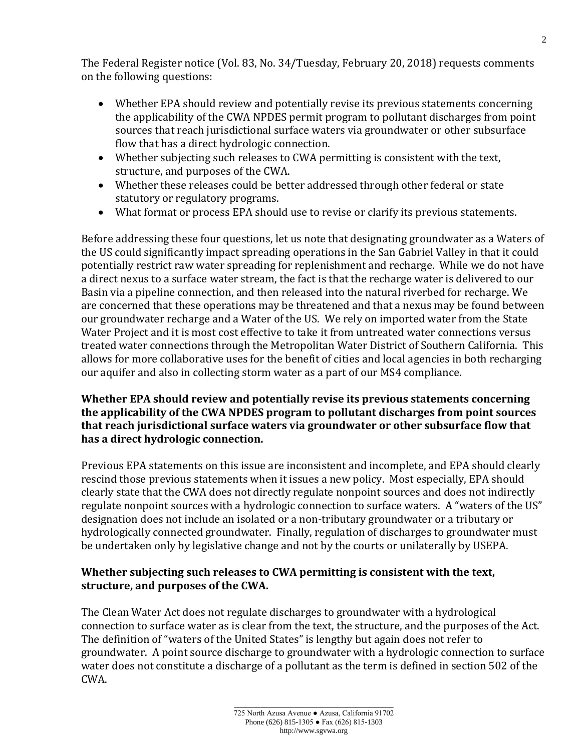The Federal Register notice (Vol. 83, No. 34/Tuesday, February 20, 2018) requests comments on the following questions:

- Whether EPA should review and potentially revise its previous statements concerning the applicability of the CWA NPDES permit program to pollutant discharges from point sources that reach jurisdictional surface waters via groundwater or other subsurface flow that has a direct hydrologic connection.
- Whether subjecting such releases to CWA permitting is consistent with the text, structure, and purposes of the CWA.
- Whether these releases could be better addressed through other federal or state statutory or regulatory programs.
- What format or process EPA should use to revise or clarify its previous statements.

Before addressing these four questions, let us note that designating groundwater as a Waters of the US could significantly impact spreading operations in the San Gabriel Valley in that it could potentially restrict raw water spreading for replenishment and recharge. While we do not have a direct nexus to a surface water stream, the fact is that the recharge water is delivered to our Basin via a pipeline connection, and then released into the natural riverbed for recharge. We are concerned that these operations may be threatened and that a nexus may be found between our groundwater recharge and a Water of the US. We rely on imported water from the State Water Project and it is most cost effective to take it from untreated water connections versus treated water connections through the Metropolitan Water District of Southern California. This allows for more collaborative uses for the benefit of cities and local agencies in both recharging our aquifer and also in collecting storm water as a part of our MS4 compliance.

# **Whether EPA should review and potentially revise its previous statements concerning the applicability of the CWA NPDES program to pollutant discharges from point sources that reach jurisdictional surface waters via groundwater or other subsurface flow that has a direct hydrologic connection.**

Previous EPA statements on this issue are inconsistent and incomplete, and EPA should clearly rescind those previous statements when it issues a new policy. Most especially, EPA should clearly state that the CWA does not directly regulate nonpoint sources and does not indirectly regulate nonpoint sources with a hydrologic connection to surface waters. A "waters of the US" designation does not include an isolated or a non-tributary groundwater or a tributary or hydrologically connected groundwater. Finally, regulation of discharges to groundwater must be undertaken only by legislative change and not by the courts or unilaterally by USEPA.

# **Whether subjecting such releases to CWA permitting is consistent with the text, structure, and purposes of the CWA.**

The Clean Water Act does not regulate discharges to groundwater with a hydrological connection to surface water as is clear from the text, the structure, and the purposes of the Act. The definition of "waters of the United States" is lengthy but again does not refer to groundwater. A point source discharge to groundwater with a hydrologic connection to surface water does not constitute a discharge of a pollutant as the term is defined in section 502 of the CWA.